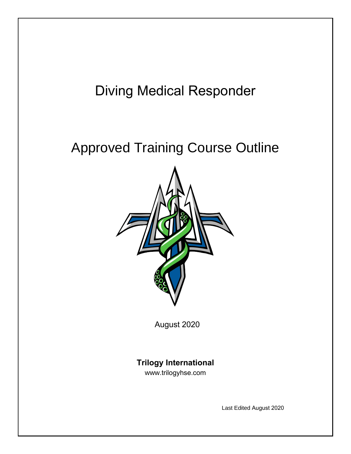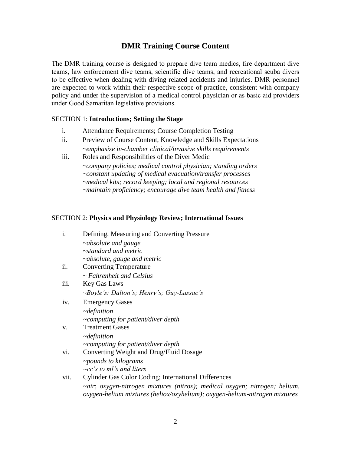## **DMR Training Course Content**

The DMR training course is designed to prepare dive team medics, fire department dive teams, law enforcement dive teams, scientific dive teams, and recreational scuba divers to be effective when dealing with diving related accidents and injuries. DMR personnel are expected to work within their respective scope of practice, consistent with company policy and under the supervision of a medical control physician or as basic aid providers under Good Samaritan legislative provisions.

#### SECTION 1: **Introductions; Setting the Stage**

- i. Attendance Requirements; Course Completion Testing
- ii. Preview of Course Content, Knowledge and Skills Expectations ~*emphasize in-chamber clinical/invasive skills requirements*
- iii. Roles and Responsibilities of the Diver Medic ~*company policies; medical control physician; standing orders ~constant updating of medical evacuation/transfer processes ~medical kits; record keeping; local and regional resources ~maintain proficiency; encourage dive team health and fitness*

#### SECTION 2: **Physics and Physiology Review; International Issues**

| i.   | Defining, Measuring and Converting Pressure                                                                                                              |
|------|----------------------------------------------------------------------------------------------------------------------------------------------------------|
|      | $\sim$ absolute and gauge                                                                                                                                |
|      | $\sim$ standard and metric                                                                                                                               |
|      | $\sim$ absolute, gauge and metric                                                                                                                        |
| ii.  | <b>Converting Temperature</b>                                                                                                                            |
|      | $\sim$ Fahrenheit and Celsius                                                                                                                            |
| iii. | Key Gas Laws                                                                                                                                             |
|      | $\sim$ Boyle's: Dalton's; Henry's; Guy-Lussac's                                                                                                          |
| iv.  | <b>Emergency Gases</b>                                                                                                                                   |
|      | $\neg definition$                                                                                                                                        |
|      | $\sim$ computing for patient/diver depth                                                                                                                 |
| V.   | <b>Treatment Gases</b>                                                                                                                                   |
|      | $\neg definition$                                                                                                                                        |
|      | $\sim$ computing for patient/diver depth                                                                                                                 |
| vi.  | Converting Weight and Drug/Fluid Dosage                                                                                                                  |
|      | $\sim$ pounds to kilograms                                                                                                                               |
|      | $\sim$ cc's to ml's and liters                                                                                                                           |
| vii. | <b>Cylinder Gas Color Coding; International Differences</b>                                                                                              |
|      | ~air; oxygen-nitrogen mixtures (nitrox); medical oxygen; nitrogen; helium,<br>oxygen-helium mixtures (heliox/oxyhelium); oxygen-helium-nitrogen mixtures |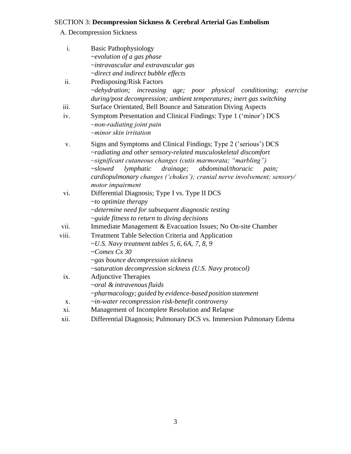### SECTION 3: **Decompression Sickness & Cerebral Arterial Gas Embolism**

A. Decompression Sickness

| i.    | <b>Basic Pathophysiology</b>                                            |
|-------|-------------------------------------------------------------------------|
|       | $\sim$ evolution of a gas phase                                         |
|       | ~intravascular and extravascular gas                                    |
|       | ~direct and indirect bubble effects                                     |
| ii.   | Predisposing/Risk Factors                                               |
|       | ~dehydration; increasing age; poor physical conditioning;<br>exercise   |
|       | during/post decompression; ambient temperatures; inert gas switching    |
| iii.  | Surface Orientated, Bell Bounce and Saturation Diving Aspects           |
| iv.   | Symptom Presentation and Clinical Findings: Type 1 ('minor') DCS        |
|       | $\sim$ non-radiating joint pain                                         |
|       | $\sim$ minor skin irritation                                            |
| V.    | Signs and Symptoms and Clinical Findings; Type 2 ('serious') DCS        |
|       | ~radiating and other sensory-related musculoskeletal discomfort         |
|       | ~significant cutaneous changes (cutis marmorata; "marbling")            |
|       | drainage;<br>abdominal/thoracic<br>$\sim$ slowed<br>lymphatic<br>pain;  |
|       | cardiopulmonary changes ('chokes'); cranial nerve involvement; sensory/ |
|       | motor impairment                                                        |
| vi.   | Differential Diagnosis; Type I vs. Type II DCS                          |
|       | $\sim$ to optimize therapy                                              |
|       | ~determine need for subsequent diagnostic testing                       |
|       | ~guide fitness to return to diving decisions                            |
| V11.  | Immediate Management & Evacuation Issues; No On-site Chamber            |
| viii. | <b>Treatment Table Selection Criteria and Application</b>               |
|       | $\sim U.S.$ Navy treatment tables 5, 6, 6A, 7, 8, 9                     |
|       | $-Comex$ Cx 30                                                          |
|       | ~gas bounce decompression sickness                                      |
|       | ~saturation decompression sickness (U.S. Navy protocol)                 |
| ix.   | <b>Adjunctive Therapies</b>                                             |
|       | $\sim$ oral & intravenous fluids                                        |
|       | ~pharmacology; guided by evidence-based position statement              |
| X.    | $\sim$ in-water recompression risk-benefit controversy                  |
| X1.   | Management of Incomplete Resolution and Relapse                         |
| xii.  | Differential Diagnosis; Pulmonary DCS vs. Immersion Pulmonary Edema     |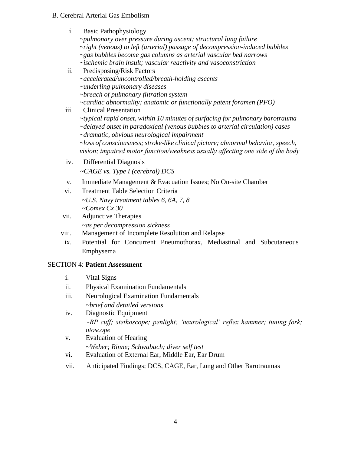#### B. Cerebral Arterial Gas Embolism

- i. Basic Pathophysiology *~pulmonary over pressure during ascent; structural lung failure ~right (venous) to left (arterial) passage of decompression-induced bubbles ~gas bubbles become gas columns as arterial vascular bed narrows ~ischemic brain insult; vascular reactivity and vasoconstriction* ii. Predisposing/Risk Factors *~accelerated/uncontrolled/breath-holding ascents ~underling pulmonary diseases ~breach of pulmonary filtration system ~cardiac abnormality; anatomic or functionally patent foramen (PFO)* iii. Clinical Presentation
	- ~*typical rapid onset, within 10 minutes of surfacing for pulmonary barotrauma ~delayed onset in paradoxical (venous bubbles to arterial circulation) cases ~dramatic, obvious neurological impairment ~loss of consciousness; stroke-like clinical picture; abnormal behavior, speech, vision; impaired motor function/weakness usually affecting one side of the body*
- iv. Differential Diagnosis ~*CAGE vs. Type I (cerebral) DCS*
- v. Immediate Management & Evacuation Issues; No On-site Chamber
- vi. Treatment Table Selection Criteria *~U.S. Navy treatment tables 6, 6A, 7, 8 ~Comex Cx 30*
- vii. Adjunctive Therapies *~as per decompression sickness*
- viii. Management of Incomplete Resolution and Relapse
- ix. Potential for Concurrent Pneumothorax, Mediastinal and Subcutaneous Emphysema

### SECTION 4: **Patient Assessment**

- i. Vital Signs
- ii. Physical Examination Fundamentals
- iii. Neurological Examination Fundamentals *~brief and detailed versions*
- iv. Diagnostic Equipment *~BP cuff; stethoscope; penlight; 'neurological' reflex hammer; tuning fork; otoscope*
- v. Evaluation of Hearing *~Weber; Rinne; Schwabach; diver self test*
- vi. Evaluation of External Ear, Middle Ear, Ear Drum
- vii. Anticipated Findings; DCS, CAGE, Ear, Lung and Other Barotraumas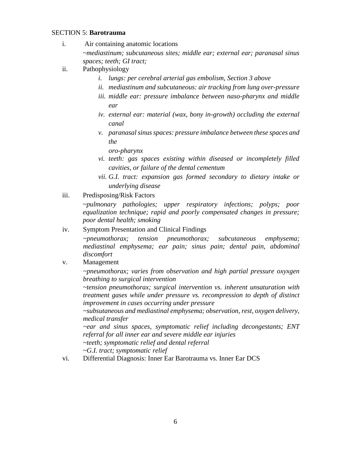#### SECTION 5: **Barotrauma**

- i. Air containing anatomic locations *~mediastinum; subcutaneous sites; middle ear; external ear; paranasal sinus spaces; teeth; GI tract;*
- ii. Pathophysiology
	- *i. lungs: per cerebral arterial gas embolism, Section 3 above*
	- *ii. mediastinum and subcutaneous: air tracking from lung over-pressure*
	- *iii. middle ear: pressure imbalance between naso-pharynx and middle ear*
	- *iv. external ear: material (wax, bony in-growth) occluding the external canal*
	- *v. paranasal sinus spaces: pressure imbalance between these spaces and the*

*oro-pharynx*

- *vi. teeth: gas spaces existing within diseased or incompletely filled cavities, or failure of the dental cementum*
- *vii. G.I. tract: expansion gas formed secondary to dietary intake or underlying disease*
- iii. Predisposing/Risk Factors

*~pulmonary pathologies; upper respiratory infections; polyps; poor equalization technique; rapid and poorly compensated changes in pressure; poor dental health; smoking*

#### iv. Symptom Presentation and Clinical Findings

*~pneumothorax; tension pneumothorax; subcutaneous emphysema; mediastinal emphysema; ear pain; sinus pain; dental pain, abdominal discomfort*

v. Management

*~pneumothorax; varies from observation and high partial pressure oxyxgen breathing to surgical intervention*

*~tension pneumothorax; surgical intervention vs. inherent unsaturation with treatment gases while under pressure vs. recompression to depth of distinct improvement in cases occurring under pressure*

*~subsutaneous and mediastinal emphysema; observation, rest, oxygen delivery, medical transfer*

*~ear and sinus spaces, symptomatic relief including decongestants; ENT referral for all inner ear and severe middle ear injuries ~teeth; symptomatic relief and dental referral*

*~G.I. tract; symptomatic relief*

vi. Differential Diagnosis: Inner Ear Barotrauma vs. Inner Ear DCS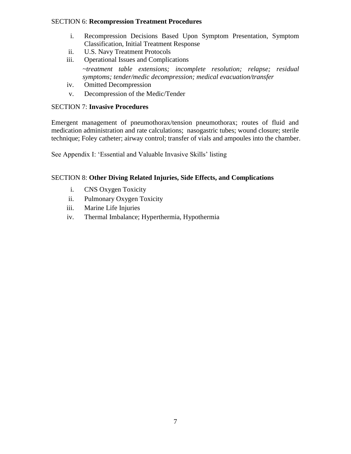#### SECTION 6: **Recompression Treatment Procedures**

- i. Recompression Decisions Based Upon Symptom Presentation, Symptom Classification, Initial Treatment Response
- ii. U.S. Navy Treatment Protocols
- iii. Operational Issues and Complications *~treatment table extensions; incomplete resolution; relapse; residual symptoms; tender/medic decompression; medical evacuation/transfer*
- iv. Omitted Decompression
- v. Decompression of the Medic/Tender

#### SECTION 7: **Invasive Procedures**

Emergent management of pneumothorax/tension pneumothorax; routes of fluid and medication administration and rate calculations; nasogastric tubes; wound closure; sterile technique; Foley catheter; airway control; transfer of vials and ampoules into the chamber.

See Appendix I: 'Essential and Valuable Invasive Skills' listing

#### SECTION 8: **Other Diving Related Injuries, Side Effects, and Complications**

- i. CNS Oxygen Toxicity
- ii. Pulmonary Oxygen Toxicity
- iii. Marine Life Injuries
- iv. Thermal Imbalance; Hyperthermia, Hypothermia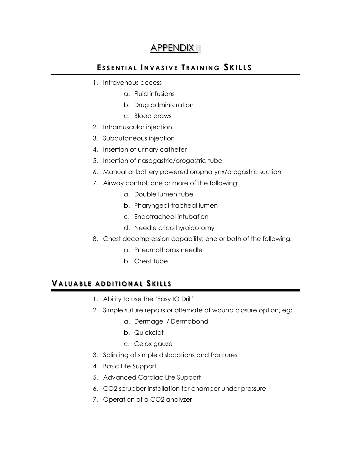# APPENDIX I

# ESSENTIAL INVASIVE TRAINING SKILLS

- 1. Intravenous access
	- a. Fluid infusions
	- b. Drug administration
	- c. Blood draws
- 2. Intramuscular injection
- 3. Subcutaneous injection
- 4. Insertion of urinary catheter
- 5. Insertion of nasogastric/orogastric tube
- 6. Manual or battery powered oropharynx/orogastric suction
- 7. Airway control; one or more of the following:
	- a. Double lumen tube
	- b. Pharyngeal-tracheal lumen
	- c. Endotracheal intubation
	- d. Needle cricothyroidotomy
- 8. Chest decompression capability; one or both of the following:
	- a. Pneumothorax needle
	- b. Chest tube

# **V A L U A B L E A D D I T I O N A L S K I L L S**

- 1. Ability to use the 'Easy IO Drill'
- 2. Simple suture repairs or alternate of wound closure option, eg;
	- a. Dermagel / Dermabond
	- b. Quickclot
	- c. Celox gauze
- 3. Splinting of simple dislocations and fractures
- 4. Basic Life Support
- 5. Advanced Cardiac Life Support
- 6. CO2 scrubber installation for chamber under pressure
- 7. Operation of a CO2 analyzer